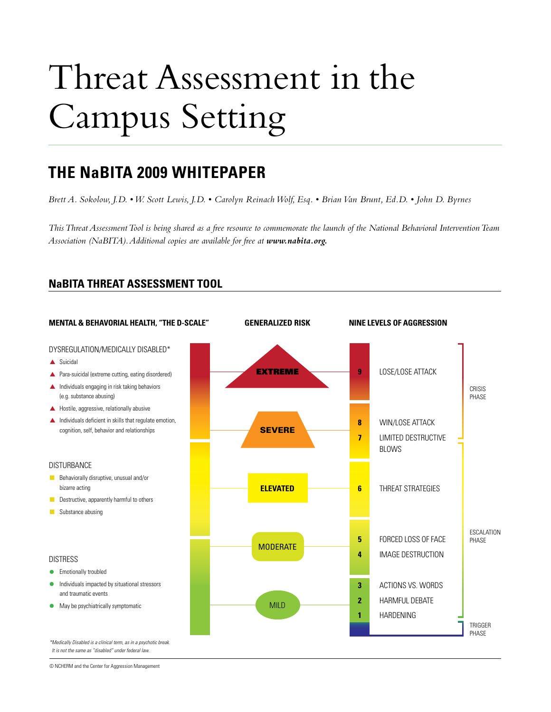# Threat Assessment in the Campus Setting

### **THE NaBITA 2009 WHITEPAPER**

*Brett A. Sokolow, J.D. • W. Scott Lewis, J.D. • Carolyn Reinach Wolf, Esq. • Brian Van Brunt, Ed.D. • John D. Byrnes*

*This Threat Assessment Tool is being shared as a free resource to commemorate the launch of the National Behavioral Intervention Team Association (NaBITA). Additional copies are available for free at www.nabita.org.*



**NaBITA THREAT ASSESSMENT TOOL**

© NCHERM and the Center for Aggression Management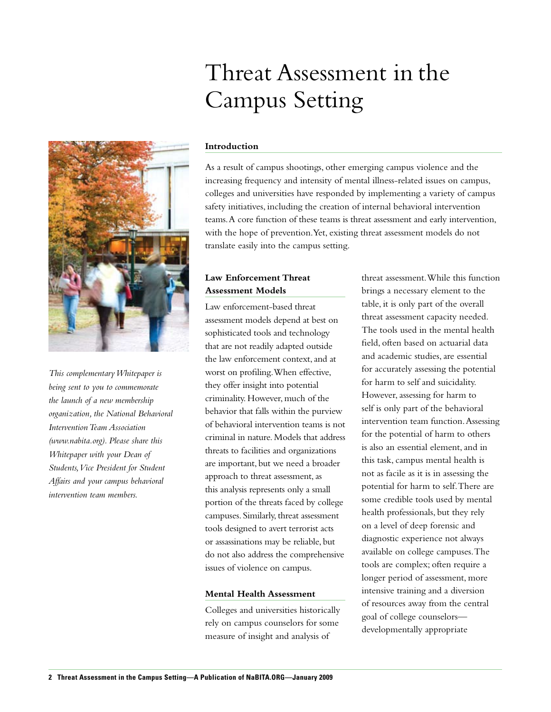## Threat Assessment in the Campus Setting



*This complementary Whitepaper is being sent to you to commemorate the launch of a new membership organization, the National Behavioral Intervention Team Association (www.nabita.org). Please share this Whitepaper with your Dean of Students, Vice President for Student Affairs and your campus behavioral intervention team members.*

### **Introduction**

As a result of campus shootings, other emerging campus violence and the increasing frequency and intensity of mental illness-related issues on campus, colleges and universities have responded by implementing a variety of campus safety initiatives, including the creation of internal behavioral intervention teams. A core function of these teams is threat assessment and early intervention, with the hope of prevention. Yet, existing threat assessment models do not translate easily into the campus setting.

### **Law Enforcement Threat Assessment Models**

Law enforcement-based threat assessment models depend at best on sophisticated tools and technology that are not readily adapted outside the law enforcement context, and at worst on profiling. When effective, they offer insight into potential criminality. However, much of the behavior that falls within the purview of behavioral intervention teams is not criminal in nature. Models that address threats to facilities and organizations are important, but we need a broader approach to threat assessment, as this analysis represents only a small portion of the threats faced by college campuses. Similarly, threat assessment tools designed to avert terrorist acts or assassinations may be reliable, but do not also address the comprehensive issues of violence on campus.

### **Mental Health Assessment**

Colleges and universities historically rely on campus counselors for some measure of insight and analysis of

threat assessment. While this function brings a necessary element to the table, it is only part of the overall threat assessment capacity needed. The tools used in the mental health field, often based on actuarial data and academic studies, are essential for accurately assessing the potential for harm to self and suicidality. However, assessing for harm to self is only part of the behavioral intervention team function. Assessing for the potential of harm to others is also an essential element, and in this task, campus mental health is not as facile as it is in assessing the potential for harm to self. There are some credible tools used by mental health professionals, but they rely on a level of deep forensic and diagnostic experience not always available on college campuses. The tools are complex; often require a longer period of assessment, more intensive training and a diversion of resources away from the central goal of college counselors developmentally appropriate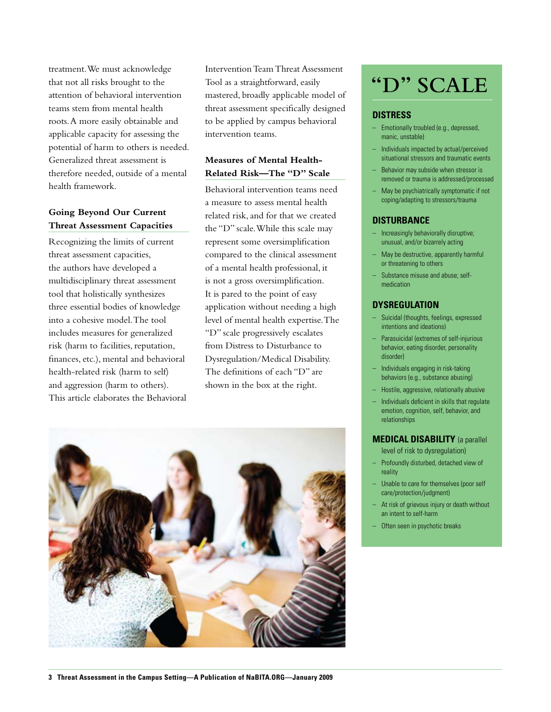treatment. We must acknowledge that not all risks brought to the attention of behavioral intervention teams stem from mental health roots. A more easily obtainable and applicable capacity for assessing the potential of harm to others is needed. Generalized threat assessment is therefore needed, outside of a mental health framework.

### **Going Beyond Our Current Threat Assessment Capacities**

Recognizing the limits of current threat assessment capacities, the authors have developed a multidisciplinary threat assessment tool that holistically synthesizes three essential bodies of knowledge into a cohesive model. The tool includes measures for generalized risk (harm to facilities, reputation, finances, etc.), mental and behavioral health-related risk (harm to self) and aggression (harm to others). This article elaborates the Behavioral Intervention Team Threat Assessment Tool as a straightforward, easily mastered, broadly applicable model of threat assessment specifically designed to be applied by campus behavioral intervention teams.

### **Measures of Mental Health-Related Risk—The "D" Scale**

Behavioral intervention teams need a measure to assess mental health related risk, and for that we created the "D" scale. While this scale may represent some oversimplification compared to the clinical assessment of a mental health professional, it is not a gross oversimplification. It is pared to the point of easy application without needing a high level of mental health expertise. The "D" scale progressively escalates from Distress to Disturbance to Dysregulation/Medical Disability. The definitions of each "D" are shown in the box at the right.



### **"D" SCALE**

### **Distress**

- Emotionally troubled (e.g., depressed, manic, unstable)
- Individuals impacted by actual/perceived situational stressors and traumatic events
- Behavior may subside when stressor is removed or trauma is addressed/processed
- May be psychiatrically symptomatic if not coping/adapting to stressors/trauma

### **Disturbance**

- Increasingly behaviorally disruptive; unusual, and/or bizarrely acting
- May be destructive, apparently harmful or threatening to others
- Substance misuse and abuse; selfmedication

### **Dysregulation**

- Suicidal (thoughts, feelings, expressed intentions and ideations)
- Parasuicidal (extremes of self-injurious behavior, eating disorder, personality disorder)
- Individuals engaging in risk-taking behaviors (e.g., substance abusing)
- Hostile, aggressive, relationally abusive
- Individuals deficient in skills that regulate emotion, cognition, self, behavior, and relationships

### **Medical Disability** (a parallel

level of risk to dysregulation)

- Profoundly disturbed, detached view of reality
- Unable to care for themselves (poor self care/protection/judgment)
- At risk of grievous injury or death without an intent to self-harm
- Often seen in psychotic breaks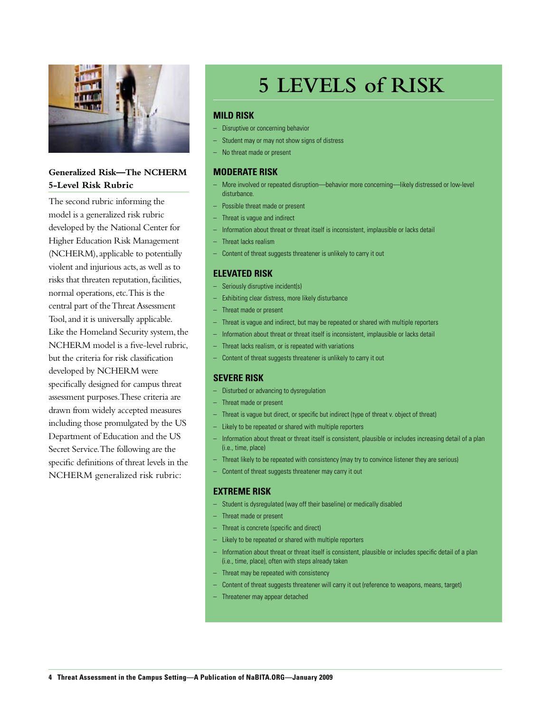

### **Generalized Risk—The NCHERM 5-Level Risk Rubric**

The second rubric informing the model is a generalized risk rubric developed by the National Center for Higher Education Risk Management (NCHERM), applicable to potentially violent and injurious acts, as well as to risks that threaten reputation, facilities, normal operations, etc. This is the central part of the Threat Assessment Tool, and it is universally applicable. Like the Homeland Security system, the NCHERM model is a five-level rubric, but the criteria for risk classification developed by NCHERM were specifically designed for campus threat assessment purposes. These criteria are drawn from widely accepted measures including those promulgated by the US Department of Education and the US Secret Service. The following are the specific definitions of threat levels in the NCHERM generalized risk rubric:

### **5 LEVELS of RISK**

### **Mild risk**

- Disruptive or concerning behavior
- Student may or may not show signs of distress
- No threat made or present

### **Moderate risk**

- More involved or repeated disruption—behavior more concerning—likely distressed or low-level disturbance.
- Possible threat made or present
- Threat is vague and indirect
- Information about threat or threat itself is inconsistent, implausible or lacks detail
- Threat lacks realism
- Content of threat suggests threatener is unlikely to carry it out

### **Elevated risk**

- Seriously disruptive incident(s)
- Exhibiting clear distress, more likely disturbance
- Threat made or present
- Threat is vague and indirect, but may be repeated or shared with multiple reporters
- Information about threat or threat itself is inconsistent, implausible or lacks detail
- Threat lacks realism, or is repeated with variations
- Content of threat suggests threatener is unlikely to carry it out

### **Severe risk**

- Disturbed or advancing to dysregulation
- Threat made or present
- Threat is vague but direct, or specific but indirect (type of threat v. object of threat)
- Likely to be repeated or shared with multiple reporters
- Information about threat or threat itself is consistent, plausible or includes increasing detail of a plan (i.e., time, place)
- Threat likely to be repeated with consistency (may try to convince listener they are serious)
- Content of threat suggests threatener may carry it out

### **Extreme risk**

- Student is dysregulated (way off their baseline) or medically disabled
- Threat made or present
- Threat is concrete (specific and direct)
- Likely to be repeated or shared with multiple reporters
- Information about threat or threat itself is consistent, plausible or includes specific detail of a plan (i.e., time, place), often with steps already taken
- Threat may be repeated with consistency
- Content of threat suggests threatener will carry it out (reference to weapons, means, target)
- Threatener may appear detached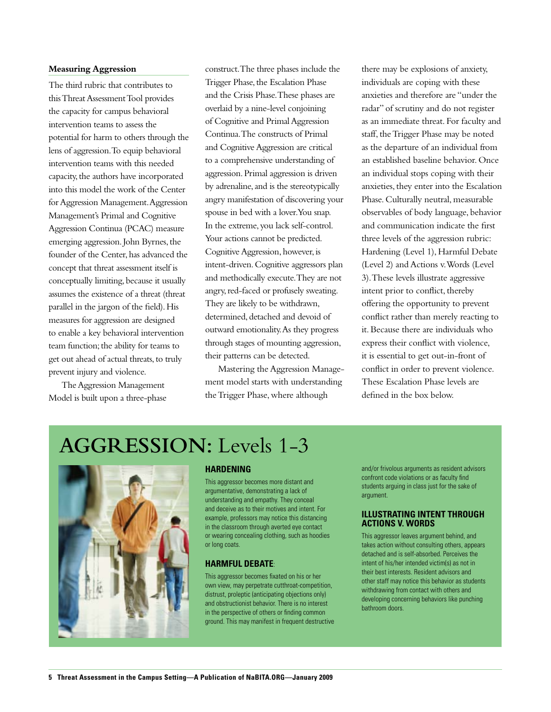### **Measuring Aggression**

The third rubric that contributes to this Threat Assessment Tool provides the capacity for campus behavioral intervention teams to assess the potential for harm to others through the lens of aggression. To equip behavioral intervention teams with this needed capacity, the authors have incorporated into this model the work of the Center for Aggression Management. Aggression Management's Primal and Cognitive Aggression Continua (PCAC) measure emerging aggression. John Byrnes, the founder of the Center, has advanced the concept that threat assessment itself is conceptually limiting, because it usually assumes the existence of a threat (threat parallel in the jargon of the field). His measures for aggression are designed to enable a key behavioral intervention team function; the ability for teams to get out ahead of actual threats, to truly prevent injury and violence.

The Aggression Management Model is built upon a three-phase construct. The three phases include the Trigger Phase, the Escalation Phase and the Crisis Phase. These phases are overlaid by a nine-level conjoining of Cognitive and Primal Aggression Continua. The constructs of Primal and Cognitive Aggression are critical to a comprehensive understanding of aggression. Primal aggression is driven by adrenaline, and is the stereotypically angry manifestation of discovering your spouse in bed with a lover. You snap. In the extreme, you lack self-control. Your actions cannot be predicted. Cognitive Aggression, however, is intent-driven. Cognitive aggressors plan and methodically execute. They are not angry, red-faced or profusely sweating. They are likely to be withdrawn, determined, detached and devoid of outward emotionality. As they progress through stages of mounting aggression, their patterns can be detected.

Mastering the Aggression Management model starts with understanding the Trigger Phase, where although

there may be explosions of anxiety, individuals are coping with these anxieties and therefore are "under the radar" of scrutiny and do not register as an immediate threat. For faculty and staff, the Trigger Phase may be noted as the departure of an individual from an established baseline behavior. Once an individual stops coping with their anxieties, they enter into the Escalation Phase. Culturally neutral, measurable observables of body language, behavior and communication indicate the first three levels of the aggression rubric: Hardening (Level 1), Harmful Debate (Level 2) and Actions v. Words (Level 3). These levels illustrate aggressive intent prior to conflict, thereby offering the opportunity to prevent conflict rather than merely reacting to it. Because there are individuals who express their conflict with violence, it is essential to get out-in-front of conflict in order to prevent violence. These Escalation Phase levels are defined in the box below.

### **AGGRESSION:** Levels 1-3



#### **Hardening**

This aggressor becomes more distant and argumentative, demonstrating a lack of understanding and empathy. They conceal and deceive as to their motives and intent. For example, professors may notice this distancing in the classroom through averted eye contact or wearing concealing clothing, such as hoodies or long coats.

### **Harmful Debate**:

This aggressor becomes fixated on his or her own view, may perpetrate cutthroat-competition, distrust, proleptic (anticipating objections only) and obstructionist behavior. There is no interest in the perspective of others or finding common ground. This may manifest in frequent destructive and/or frivolous arguments as resident advisors confront code violations or as faculty find students arguing in class just for the sake of argument.

#### **Illustrating Intent through Actions v. Words**

This aggressor leaves argument behind, and takes action without consulting others, appears detached and is self-absorbed. Perceives the intent of his/her intended victim(s) as not in their best interests. Resident advisors and other staff may notice this behavior as students withdrawing from contact with others and developing concerning behaviors like punching bathroom doors.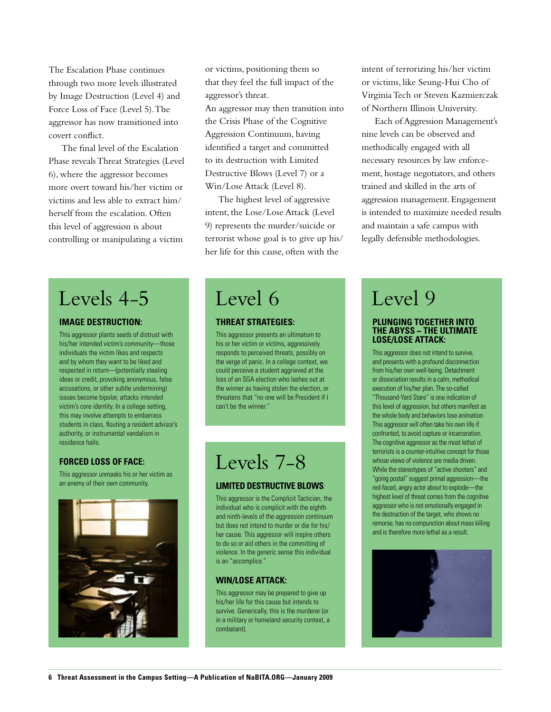The Escalation Phase continues through two more levels illustrated by Image Destruction (Level 4) and Force Loss of Face (Level 5). The aggressor has now transitioned into covert conflict.

The final level of the Escalation Phase reveals Threat Strategies (Level 6), where the aggressor becomes more overt toward his/her victim or victims and less able to extract him/ herself from the escalation. Often this level of aggression is about controlling or manipulating a victim

or victims, positioning them so that they feel the full impact of the aggressor's threat.

An aggressor may then transition into the Crisis Phase of the Cognitive Aggression Continuum, having identified a target and committed to its destruction with Limited Destructive Blows (Level 7) or a Win/Lose Attack (Level 8).

The highest level of aggressive intent, the Lose/Lose Attack (Level 9) represents the murder/suicide or terrorist whose goal is to give up his/ her life for this cause, often with the

intent of terrorizing his/her victim or victims, like Seung-Hui Cho of Virginia Tech or Steven Kazmierczak of Northern Illinois University.

Each of Aggression Management's nine levels can be observed and methodically engaged with all necessary resources by law enforcement, hostage negotiators, and others trained and skilled in the arts of aggression management. Engagement is intended to maximize needed results and maintain a safe campus with legally defensible methodologies.

### Levels 4-5

### **Image Destruction:**

This aggressor plants seeds of distrust with his/her intended victim's community—those individuals the victim likes and respects and by whom they want to be liked and respected in return—(potentially stealing ideas or credit, provoking anonymous, false accusations, or other subtle undermining) issues become bipolar, attacks intended victim's core identity. In a college setting, this may involve attempts to embarrass students in class, flouting a resident advisor's authority, or instrumental vandalism in residence halls.

### **Forced Loss of Face:**

This aggressor unmasks his or her victim as an enemy of their own community.



### Level 6

### **Threat Strategies:**

This aggressor presents an ultimatum to his or her victim or victims, aggressively responds to perceived threats, possibly on the verge of panic. In a college context, we could perceive a student aggrieved at the loss of an SGA election who lashes out at the winner as having stolen the election, or threatens that "no one will be President if I can't be the winner."

### Levels 7-8

### **Limited Destructive Blows**:

This aggressor is the Complicit Tactician, the individual who is complicit with the eighth and ninth-levels of the aggression continuum but does not intend to murder or die for his/ her cause. This aggressor will inspire others to do so or aid others in the committing of violence. In the generic sense this individual is an "accomplice."

### **Win/Lose Attack:**

This aggressor may be prepared to give up his/her life for this cause but intends to survive. Generically, this is the murderer (or in a military or homeland security context, a combatant).

### Level 9

### **Plunging Together into the Abyss − the ultimate Lose/Lose Attack:**

This aggressor does not intend to survive, and presents with a profound disconnection from his/her own well-being. Detachment or dissociation results in a calm, methodical execution of his/her plan. The so-called "Thousand-Yard Stare" is one indication of this level of aggression, but others manifest as the whole body and behaviors lose animation. This aggressor will often take his own life if confronted, to avoid capture or incarceration. The cognitive aggressor as the most lethal of terrorists is a counter-intuitive concept for those whose views of violence are media driven. While the stereotypes of "active shooters" and "going postal" suggest primal aggression—the red-faced, angry actor about to explode—the highest level of threat comes from the cognitive aggressor who is not emotionally engaged in the destruction of the target, who shows no remorse, has no compunction about mass killing and is therefore more lethal as a result.

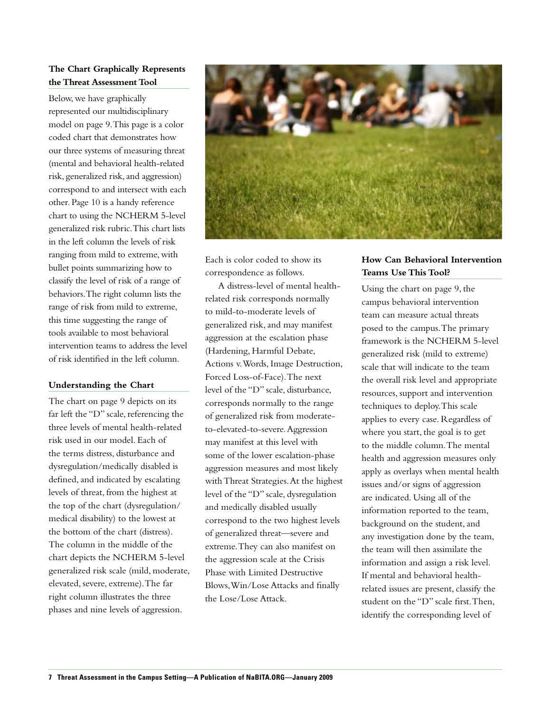### **The Chart Graphically Represents the Threat Assessment Tool**

Below, we have graphically represented our multidisciplinary model on page 9. This page is a color coded chart that demonstrates how our three systems of measuring threat (mental and behavioral health-related risk, generalized risk, and aggression) correspond to and intersect with each other. Page 10 is a handy reference chart to using the NCHERM 5-level generalized risk rubric. This chart lists in the left column the levels of risk ranging from mild to extreme, with bullet points summarizing how to classify the level of risk of a range of behaviors. The right column lists the range of risk from mild to extreme, this time suggesting the range of tools available to most behavioral intervention teams to address the level of risk identified in the left column.

### **Understanding the Chart**

The chart on page 9 depicts on its far left the "D" scale, referencing the three levels of mental health-related risk used in our model. Each of the terms distress, disturbance and dysregulation/medically disabled is defined, and indicated by escalating levels of threat, from the highest at the top of the chart (dysregulation/ medical disability) to the lowest at the bottom of the chart (distress). The column in the middle of the chart depicts the NCHERM 5-level generalized risk scale (mild, moderate, elevated, severe, extreme). The far right column illustrates the three phases and nine levels of aggression.



Each is color coded to show its correspondence as follows.

A distress-level of mental healthrelated risk corresponds normally to mild-to-moderate levels of generalized risk, and may manifest aggression at the escalation phase (Hardening, Harmful Debate, Actions v. Words, Image Destruction, Forced Loss-of-Face). The next level of the "D" scale, disturbance, corresponds normally to the range of generalized risk from moderateto-elevated-to-severe. Aggression may manifest at this level with some of the lower escalation-phase aggression measures and most likely with Threat Strategies. At the highest level of the "D" scale, dysregulation and medically disabled usually correspond to the two highest levels of generalized threat—severe and extreme. They can also manifest on the aggression scale at the Crisis Phase with Limited Destructive Blows, Win/Lose Attacks and finally the Lose/Lose Attack.

### **How Can Behavioral Intervention Teams Use This Tool?**

Using the chart on page 9, the campus behavioral intervention team can measure actual threats posed to the campus. The primary framework is the NCHERM 5-level generalized risk (mild to extreme) scale that will indicate to the team the overall risk level and appropriate resources, support and intervention techniques to deploy. This scale applies to every case. Regardless of where you start, the goal is to get to the middle column. The mental health and aggression measures only apply as overlays when mental health issues and/or signs of aggression are indicated. Using all of the information reported to the team, background on the student, and any investigation done by the team, the team will then assimilate the information and assign a risk level. If mental and behavioral healthrelated issues are present, classify the student on the "D" scale first. Then, identify the corresponding level of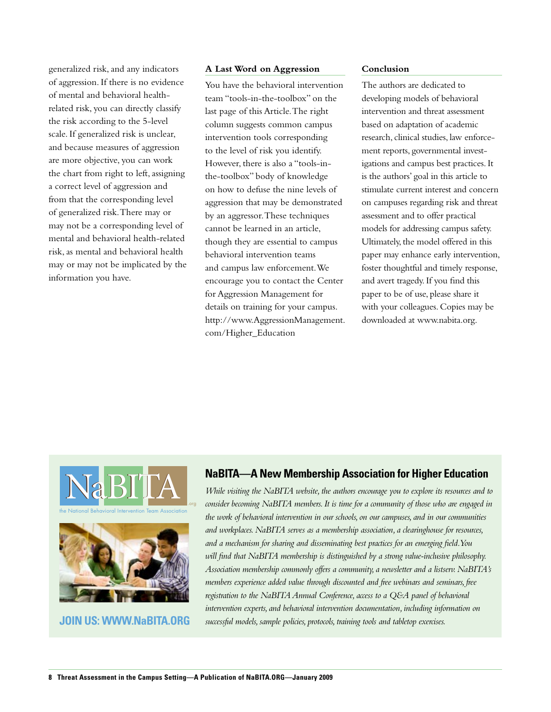generalized risk, and any indicators of aggression. If there is no evidence of mental and behavioral healthrelated risk, you can directly classify the risk according to the 5-level scale. If generalized risk is unclear, and because measures of aggression are more objective, you can work the chart from right to left, assigning a correct level of aggression and from that the corresponding level of generalized risk. There may or may not be a corresponding level of mental and behavioral health-related risk, as mental and behavioral health may or may not be implicated by the information you have.

### **A Last Word on Aggression**

You have the behavioral intervention team "tools-in-the-toolbox" on the last page of this Article. The right column suggests common campus intervention tools corresponding to the level of risk you identify. However, there is also a "tools-inthe-toolbox" body of knowledge on how to defuse the nine levels of aggression that may be demonstrated by an aggressor. These techniques cannot be learned in an article, though they are essential to campus behavioral intervention teams and campus law enforcement. We encourage you to contact the Center for Aggression Management for details on training for your campus. http://www.AggressionManagement. com/Higher\_Education

### **Conclusion**

The authors are dedicated to developing models of behavioral intervention and threat assessment based on adaptation of academic research, clinical studies, law enforcement reports, governmental investigations and campus best practices. It is the authors' goal in this article to stimulate current interest and concern on campuses regarding risk and threat assessment and to offer practical models for addressing campus safety. Ultimately, the model offered in this paper may enhance early intervention, foster thoughtful and timely response, and avert tragedy. If you find this paper to be of use, please share it with your colleagues. Copies may be downloaded at www.nabita.org.



**JOIN US: WWW.NaBITA.ORG**

### **NaBITA—A New Membership Association for Higher Education**

*While visiting the NaBITA website, the authors encourage you to explore its resources and to consider becoming NaBITA members. It is time for a community of those who are engaged in the work of behavioral intervention in our schools, on our campuses, and in our communities and workplaces. NaBITA serves as a membership association, a clearinghouse for resources, and a mechanism for sharing and disseminating best practices for an emerging field. You will find that NaBITA membership is distinguished by a strong value-inclusive philosophy. Association membership commonly offers a community, a newsletter and a listserv. NaBITA's members experience added value through discounted and free webinars and seminars, free registration to the NaBITA Annual Conference, access to a Q&A panel of behavioral intervention experts, and behavioral intervention documentation, including information on successful models, sample policies, protocols, training tools and tabletop exercises.*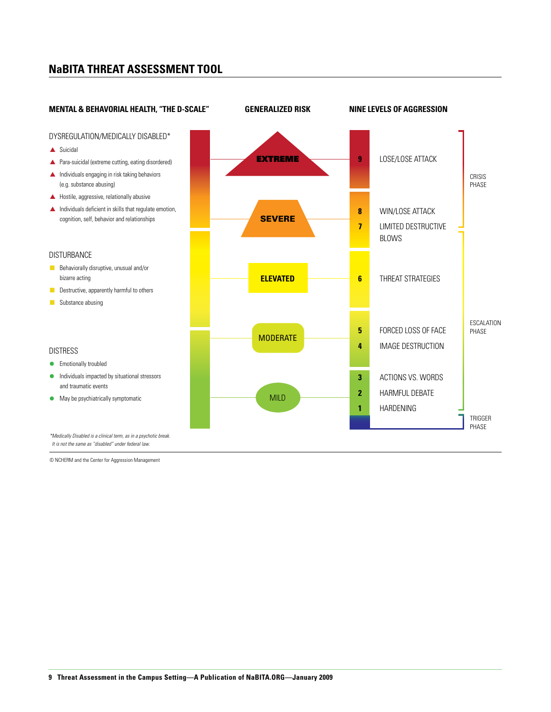### **NaBITA THREAT ASSESSMENT TOOL**



© NCHERM and the Center for Aggression Management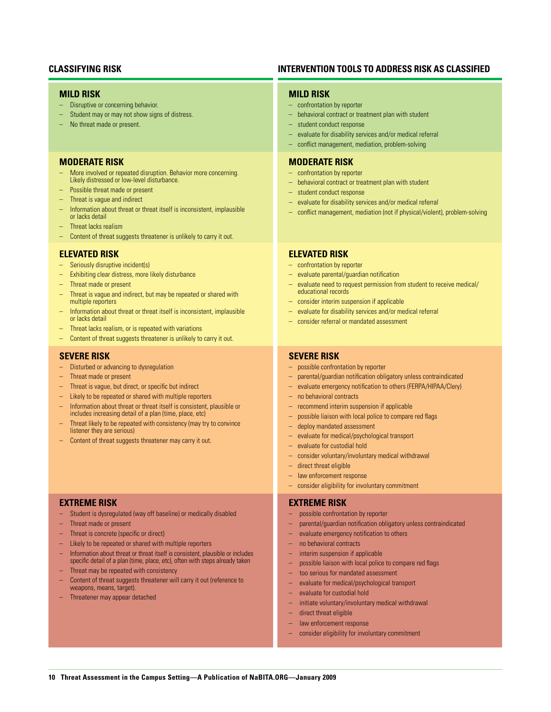### **Mild risk**

- Disruptive or concerning behavior.
- Student may or may not show signs of distress.
- No threat made or present.

#### **Moderate risk**

- More involved or repeated disruption. Behavior more concerning. Likely distressed or low-level disturbance.
- Possible threat made or present
- Threat is vague and indirect
- Information about threat or threat itself is inconsistent, implausible or lacks detail
- Threat lacks realism
- Content of threat suggests threatener is unlikely to carry it out.

#### **Elevated risk**

- Seriously disruptive incident(s)
- Exhibiting clear distress, more likely disturbance
- Threat made or present
- Threat is vague and indirect, but may be repeated or shared with multiple reporters
- Information about threat or threat itself is inconsistent, implausible or lacks detail
- Threat lacks realism, or is repeated with variations
- Content of threat suggests threatener is unlikely to carry it out.

### **Severe risk**

- Disturbed or advancing to dysregulation
- Threat made or present
- Threat is vague, but direct, or specific but indirect
- Likely to be repeated or shared with multiple reporters
- Information about threat or threat itself is consistent, plausible or includes increasing detail of a plan (time, place, etc)
- Threat likely to be repeated with consistency (may try to convince listener they are serious)
- Content of threat suggests threatener may carry it out.

#### **Extreme risk**

- Student is dysregulated (way off baseline) or medically disabled
- Threat made or present
- Threat is concrete (specific or direct)
- Likely to be repeated or shared with multiple reporters
- Information about threat or threat itself is consistent, plausible or includes specific detail of a plan (time, place, etc), often with steps already taken
- Threat may be repeated with consistency
- Content of threat suggests threatener will carry it out (reference to weapons, means, target).
- Threatener may appear detached

### **CLASSIFYING RISK INTERVENTION TOOLS TO ADDRESS RISK AS CLASSIFIED**

#### **Mild risk**

- confrontation by reporter
- behavioral contract or treatment plan with student
- student conduct response
- evaluate for disability services and/or medical referral
- conflict management, mediation, problem-solving

### **Moderate risk**

- confrontation by reporter
- behavioral contract or treatment plan with student
- student conduct response
- evaluate for disability services and/or medical referral
- conflict management, mediation (not if physical/violent), problem-solving

#### **Elevated risk**

- confrontation by reporter
- evaluate parental/guardian notification
- evaluate need to request permission from student to receive medical/ educational records
- consider interim suspension if applicable
- evaluate for disability services and/or medical referral
- consider referral or mandated assessment

### **Severe risk**

- possible confrontation by reporter
- parental/guardian notification obligatory unless contraindicated
- evaluate emergency notification to others (FERPA/HIPAA/Clery)
- no behavioral contracts
- recommend interim suspension if applicable
- possible liaison with local police to compare red flags
- deploy mandated assessment
- evaluate for medical/psychological transport
- evaluate for custodial hold
- consider voluntary/involuntary medical withdrawal
- direct threat eligible
- law enforcement response
- consider eligibility for involuntary commitment

#### **Extreme risk**

- possible confrontation by reporter
- parental/guardian notification obligatory unless contraindicated
- evaluate emergency notification to others
- no behavioral contracts
- interim suspension if applicable
- possible liaison with local police to compare red flags
- too serious for mandated assessment
- evaluate for medical/psychological transport
- evaluate for custodial hold
- initiate voluntary/involuntary medical withdrawal
- direct threat eligible
- law enforcement response
- consider eligibility for involuntary commitment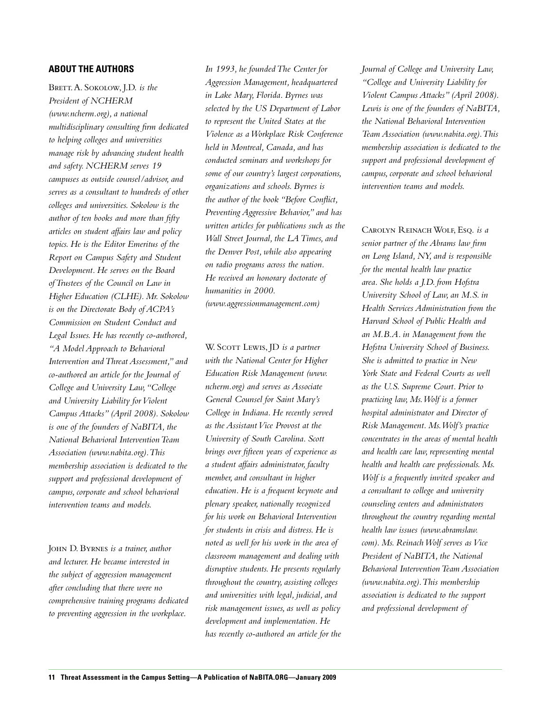### **About the Authors**

BRETT. A. SOKOLOW, J.D. is the *President of NCHERM (www.ncherm.org), a national multidisciplinary consulting firm dedicated to helping colleges and universities manage risk by advancing student health and safety. NCHERM serves 19 campuses as outside counsel/advisor, and serves as a consultant to hundreds of other colleges and universities. Sokolow is the author of ten books and more than fifty articles on student affairs law and policy topics. He is the Editor Emeritus of the Report on Campus Safety and Student Development. He serves on the Board of Trustees of the Council on Law in Higher Education (CLHE). Mr. Sokolow is on the Directorate Body of ACPA's Commission on Student Conduct and Legal Issues. He has recently co-authored, "A Model Approach to Behavioral Intervention and Threat Assessment," and co-authored an article for the Journal of College and University Law, "College and University Liability for Violent Campus Attacks" (April 2008). Sokolow is one of the founders of NaBITA, the National Behavioral Intervention Team Association (www.nabita.org). This membership association is dedicated to the support and professional development of campus, corporate and school behavioral intervention teams and models.* 

John D. Byrnes *is a trainer, author and lecturer. He became interested in the subject of aggression management after concluding that there were no comprehensive training programs dedicated to preventing aggression in the workplace.* 

*In 1993, he founded The Center for Aggression Management, headquartered in Lake Mary, Florida. Byrnes was selected by the US Department of Labor to represent the United States at the Violence as a Workplace Risk Conference held in Montreal, Canada, and has conducted seminars and workshops for some of our country's largest corporations, organizations and schools. Byrnes is the author of the book "Before Conflict, Preventing Aggressive Behavior," and has written articles for publications such as the Wall Street Journal, the LA Times, and the Denver Post, while also appearing on radio programs across the nation. He received an honorary doctorate of humanities in 2000.* 

*(www.aggressionmanagement.com)* 

W. SCOTT LEWIS, JD is a partner *with the National Center for Higher Education Risk Management (www. ncherm.org) and serves as Associate General Counsel for Saint Mary's College in Indiana. He recently served as the Assistant Vice Provost at the University of South Carolina. Scott brings over fifteen years of experience as a student affairs administrator, faculty member, and consultant in higher education. He is a frequent keynote and plenary speaker, nationally recognized for his work on Behavioral Intervention for students in crisis and distress. He is noted as well for his work in the area of classroom management and dealing with disruptive students. He presents regularly throughout the country, assisting colleges and universities with legal, judicial, and risk management issues, as well as policy development and implementation. He has recently co-authored an article for the*  *Journal of College and University Law, "College and University Liability for Violent Campus Attacks" (April 2008). Lewis is one of the founders of NaBITA, the National Behavioral Intervention Team Association (www.nabita.org). This membership association is dedicated to the support and professional development of campus, corporate and school behavioral intervention teams and models.* 

Carolyn Reinach Wolf, Esq. *is a senior partner of the Abrams law firm on Long Island, NY, and is responsible for the mental health law practice area. She holds a J.D. from Hofstra University School of Law, an M.S. in Health Services Administration from the Harvard School of Public Health and an M.B.A. in Management from the Hofstra University School of Business. She is admitted to practice in New York State and Federal Courts as well as the U.S. Supreme Court. Prior to practicing law, Ms. Wolf is a former hospital administrator and Director of Risk Management. Ms. Wolf's practice concentrates in the areas of mental health and health care law, representing mental health and health care professionals. Ms. Wolf is a frequently invited speaker and a consultant to college and university counseling centers and administrators throughout the country regarding mental health law issues (www.abramslaw. com). Ms. Reinach Wolf serves as Vice President of NaBITA, the National Behavioral Intervention Team Association (www.nabita.org). This membership association is dedicated to the support and professional development of*